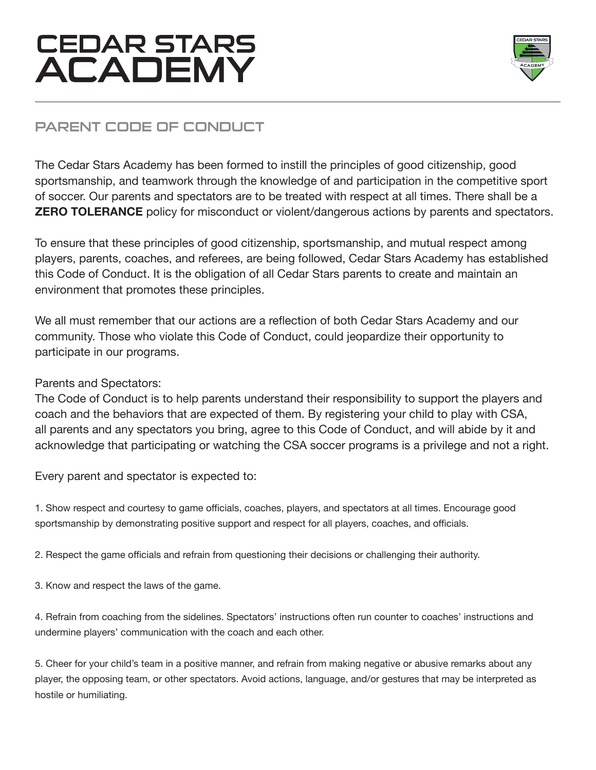

## PARENT CODE OF CONDUCT

The Cedar Stars Academy has been formed to instill the principles of good citizenship, good sportsmanship, and teamwork through the knowledge of and participation in the competitive sport of soccer. Our parents and spectators are to be treated with respect at all times. There shall be a **ZERO TOLERANCE** policy for misconduct or violent/dangerous actions by parents and spectators.

To ensure that these principles of good citizenship, sportsmanship, and mutual respect among players, parents, coaches, and referees, are being followed, Cedar Stars Academy has established this Code of Conduct. It is the obligation of all Cedar Stars parents to create and maintain an environment that promotes these principles.

We all must remember that our actions are a reflection of both Cedar Stars Academy and our community. Those who violate this Code of Conduct, could jeopardize their opportunity to participate in our programs.

#### Parents and Spectators:

The Code of Conduct is to help parents understand their responsibility to support the players and coach and the behaviors that are expected of them. By registering your child to play with CSA, all parents and any spectators you bring, agree to this Code of Conduct, and will abide by it and acknowledge that participating or watching the CSA soccer programs is a privilege and not a right.

Every parent and spectator is expected to:

1. Show respect and courtesy to game officials, coaches, players, and spectators at all times. Encourage good sportsmanship by demonstrating positive support and respect for all players, coaches, and officials.

2. Respect the game officials and refrain from questioning their decisions or challenging their authority.

3. Know and respect the laws of the game.

4. Refrain from coaching from the sidelines. Spectators' instructions often run counter to coaches' instructions and undermine players' communication with the coach and each other.

5. Cheer for your child's team in a positive manner, and refrain from making negative or abusive remarks about any player, the opposing team, or other spectators. Avoid actions, language, and/or gestures that may be interpreted as hostile or humiliating.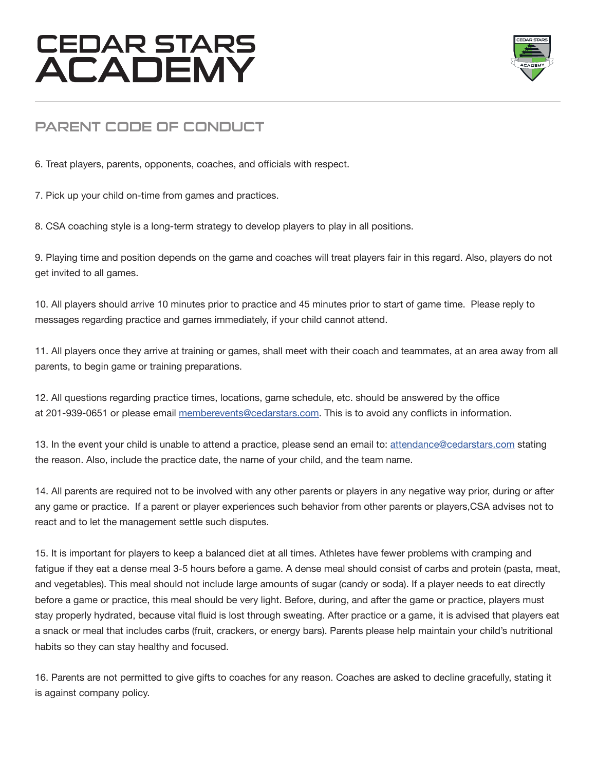

### PARENT CODE OF CONDUCT

6. Treat players, parents, opponents, coaches, and officials with respect.

7. Pick up your child on-time from games and practices.

8. CSA coaching style is a long-term strategy to develop players to play in all positions.

9. Playing time and position depends on the game and coaches will treat players fair in this regard. Also, players do not get invited to all games.

10. All players should arrive 10 minutes prior to practice and 45 minutes prior to start of game time. Please reply to messages regarding practice and games immediately, if your child cannot attend.

11. All players once they arrive at training or games, shall meet with their coach and teammates, at an area away from all parents, to begin game or training preparations.

12. All questions regarding practice times, locations, game schedule, etc. should be answered by the office at 201-939-0651 or please email memberevents@cedarstars.com. This is to avoid any conflicts in information.

13. In the event your child is unable to attend a practice, please send an email to: attendance@cedarstars.com stating the reason. Also, include the practice date, the name of your child, and the team name.

14. All parents are required not to be involved with any other parents or players in any negative way prior, during or after any game or practice. If a parent or player experiences such behavior from other parents or players,CSA advises not to react and to let the management settle such disputes.

15. It is important for players to keep a balanced diet at all times. Athletes have fewer problems with cramping and fatigue if they eat a dense meal 3-5 hours before a game. A dense meal should consist of carbs and protein (pasta, meat, and vegetables). This meal should not include large amounts of sugar (candy or soda). If a player needs to eat directly before a game or practice, this meal should be very light. Before, during, and after the game or practice, players must stay properly hydrated, because vital fluid is lost through sweating. After practice or a game, it is advised that players eat a snack or meal that includes carbs (fruit, crackers, or energy bars). Parents please help maintain your child's nutritional habits so they can stay healthy and focused.

16. Parents are not permitted to give gifts to coaches for any reason. Coaches are asked to decline gracefully, stating it is against company policy.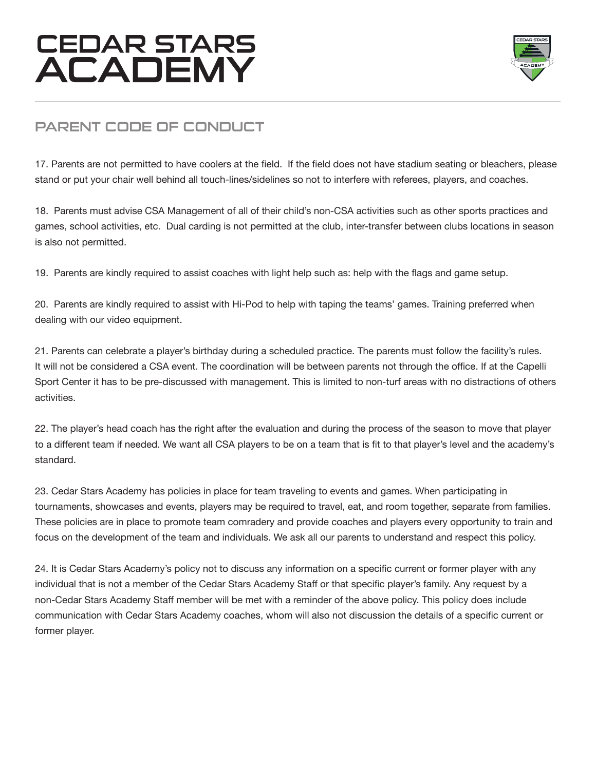

### PARENT CODE OF CONDUCT

17. Parents are not permitted to have coolers at the field. If the field does not have stadium seating or bleachers, please stand or put your chair well behind all touch-lines/sidelines so not to interfere with referees, players, and coaches.

18. Parents must advise CSA Management of all of their child's non-CSA activities such as other sports practices and games, school activities, etc. Dual carding is not permitted at the club, inter-transfer between clubs locations in season is also not permitted.

19. Parents are kindly required to assist coaches with light help such as: help with the flags and game setup.

20. Parents are kindly required to assist with Hi-Pod to help with taping the teams' games. Training preferred when dealing with our video equipment.

21. Parents can celebrate a player's birthday during a scheduled practice. The parents must follow the facility's rules. It will not be considered a CSA event. The coordination will be between parents not through the office. If at the Capelli Sport Center it has to be pre-discussed with management. This is limited to non-turf areas with no distractions of others activities.

22. The player's head coach has the right after the evaluation and during the process of the season to move that player to a different team if needed. We want all CSA players to be on a team that is fit to that player's level and the academy's standard.

23. Cedar Stars Academy has policies in place for team traveling to events and games. When participating in tournaments, showcases and events, players may be required to travel, eat, and room together, separate from families. These policies are in place to promote team comradery and provide coaches and players every opportunity to train and focus on the development of the team and individuals. We ask all our parents to understand and respect this policy.

24. It is Cedar Stars Academy's policy not to discuss any information on a specific current or former player with any individual that is not a member of the Cedar Stars Academy Staff or that specific player's family. Any request by a non-Cedar Stars Academy Staff member will be met with a reminder of the above policy. This policy does include communication with Cedar Stars Academy coaches, whom will also not discussion the details of a specific current or former player.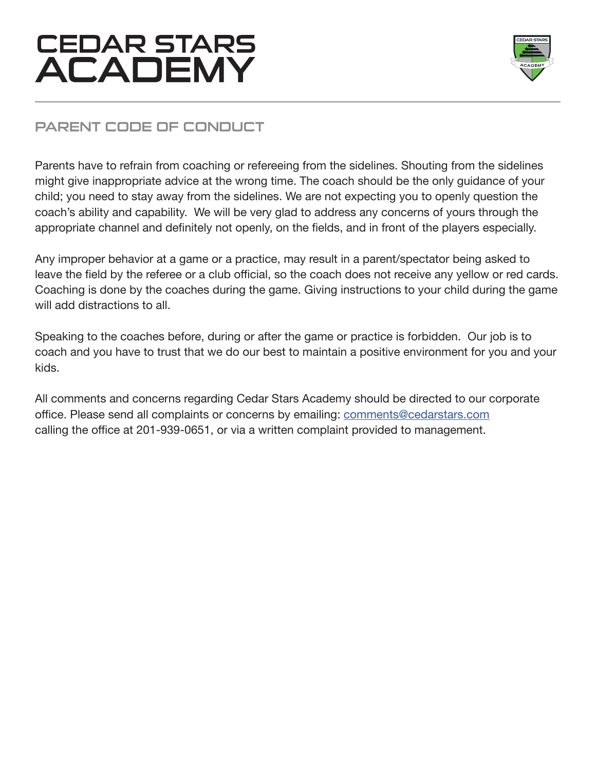

## PARENT CODE OF CONDUCT

Parents have to refrain from coaching or refereeing from the sidelines. Shouting from the sidelines might give inappropriate advice at the wrong time. The coach should be the only guidance of your child; you need to stay away from the sidelines. We are not expecting you to openly question the coach's ability and capability. We will be very glad to address any concerns of yours through the appropriate channel and definitely not openly, on the fields, and in front of the players especially.

Any improper behavior at a game or a practice, may result in a parent/spectator being asked to leave the field by the referee or a club official, so the coach does not receive any yellow or red cards. Coaching is done by the coaches during the game. Giving instructions to your child during the game will add distractions to all.

Speaking to the coaches before, during or after the game or practice is forbidden. Our job is to coach and you have to trust that we do our best to maintain a positive environment for you and your kids.

All comments and concerns regarding Cedar Stars Academy should be directed to our corporate office. Please send all complaints or concerns by emailing: comments@cedarstars.com calling the office at 201-939-0651, or via a written complaint provided to management.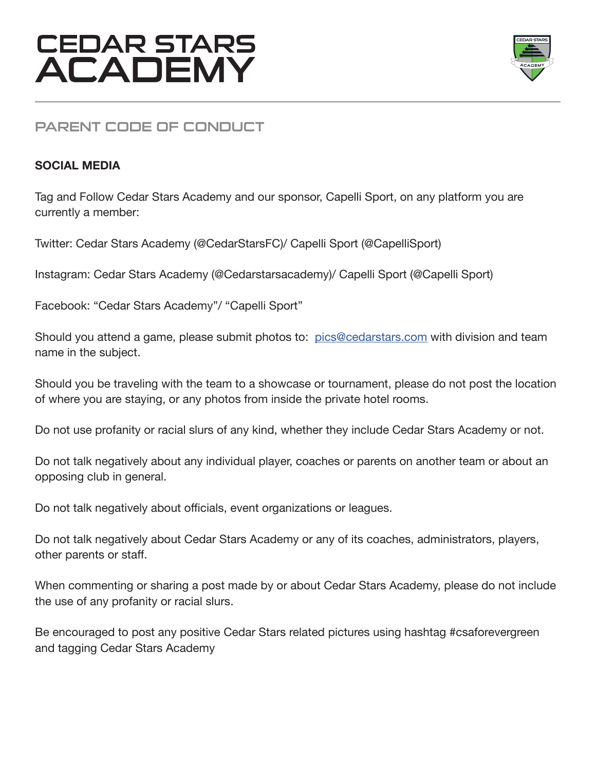

### PARENT CODE OF CONDUCT

#### **SOCIAL MEDIA**

Tag and Follow Cedar Stars Academy and our sponsor, Capelli Sport, on any platform you are currently a member:

Twitter: Cedar Stars Academy (@CedarStarsFC)/ Capelli Sport (@CapelliSport)

Instagram: Cedar Stars Academy (@Cedarstarsacademy)/ Capelli Sport (@Capelli Sport)

Facebook: "Cedar Stars Academy"/ "Capelli Sport"

Should you attend a game, please submit photos to: pics@cedarstars.com with division and team name in the subject.

Should you be traveling with the team to a showcase or tournament, please do not post the location of where you are staying, or any photos from inside the private hotel rooms.

Do not use profanity or racial slurs of any kind, whether they include Cedar Stars Academy or not.

Do not talk negatively about any individual player, coaches or parents on another team or about an opposing club in general.

Do not talk negatively about officials, event organizations or leagues.

Do not talk negatively about Cedar Stars Academy or any of its coaches, administrators, players, other parents or staff.

When commenting or sharing a post made by or about Cedar Stars Academy, please do not include the use of any profanity or racial slurs.

Be encouraged to post any positive Cedar Stars related pictures using hashtag #csaforevergreen and tagging Cedar Stars Academy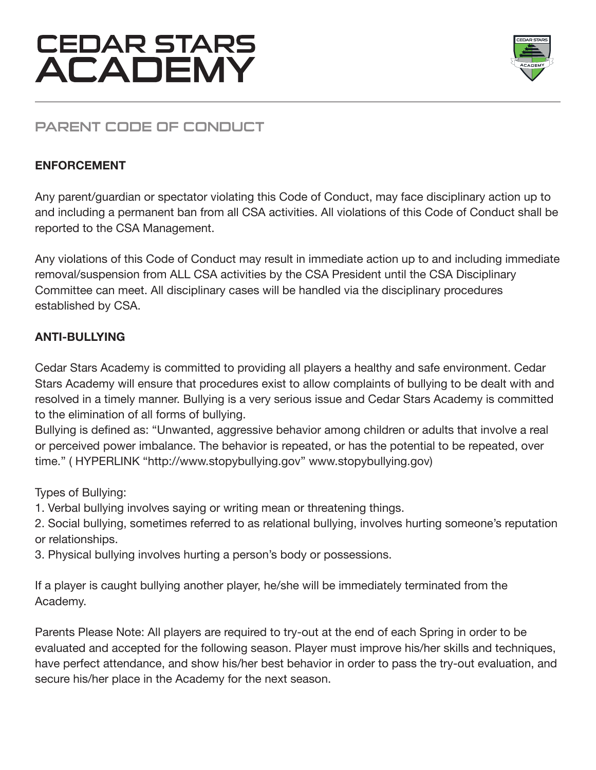

## PARENT CODE OF CONDUCT

#### **ENFORCEMENT**

Any parent/guardian or spectator violating this Code of Conduct, may face disciplinary action up to and including a permanent ban from all CSA activities. All violations of this Code of Conduct shall be reported to the CSA Management.

Any violations of this Code of Conduct may result in immediate action up to and including immediate removal/suspension from ALL CSA activities by the CSA President until the CSA Disciplinary Committee can meet. All disciplinary cases will be handled via the disciplinary procedures established by CSA.

#### **ANTI-BULLYING**

Cedar Stars Academy is committed to providing all players a healthy and safe environment. Cedar Stars Academy will ensure that procedures exist to allow complaints of bullying to be dealt with and resolved in a timely manner. Bullying is a very serious issue and Cedar Stars Academy is committed to the elimination of all forms of bullying.

Bullying is defined as: "Unwanted, aggressive behavior among children or adults that involve a real or perceived power imbalance. The behavior is repeated, or has the potential to be repeated, over time." ( HYPERLINK "http://www.stopybullying.gov" www.stopybullying.gov)

Types of Bullying:

- 1. Verbal bullying involves saying or writing mean or threatening things.
- 2. Social bullying, sometimes referred to as relational bullying, involves hurting someone's reputation or relationships.
- 3. Physical bullying involves hurting a person's body or possessions.

If a player is caught bullying another player, he/she will be immediately terminated from the Academy.

Parents Please Note: All players are required to try-out at the end of each Spring in order to be evaluated and accepted for the following season. Player must improve his/her skills and techniques, have perfect attendance, and show his/her best behavior in order to pass the try-out evaluation, and secure his/her place in the Academy for the next season.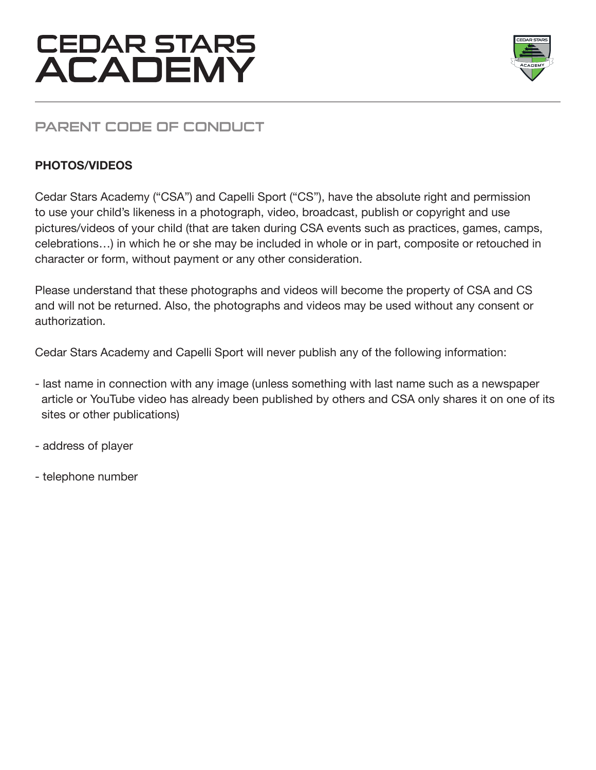



### PARENT CODE OF CONDUCT

#### **PHOTOS/VIDEOS**

Cedar Stars Academy ("CSA") and Capelli Sport ("CS"), have the absolute right and permission to use your child's likeness in a photograph, video, broadcast, publish or copyright and use pictures/videos of your child (that are taken during CSA events such as practices, games, camps, celebrations…) in which he or she may be included in whole or in part, composite or retouched in character or form, without payment or any other consideration.

Please understand that these photographs and videos will become the property of CSA and CS and will not be returned. Also, the photographs and videos may be used without any consent or authorization.

Cedar Stars Academy and Capelli Sport will never publish any of the following information:

- last name in connection with any image (unless something with last name such as a newspaper article or YouTube video has already been published by others and CSA only shares it on one of its sites or other publications)
- address of player
- telephone number